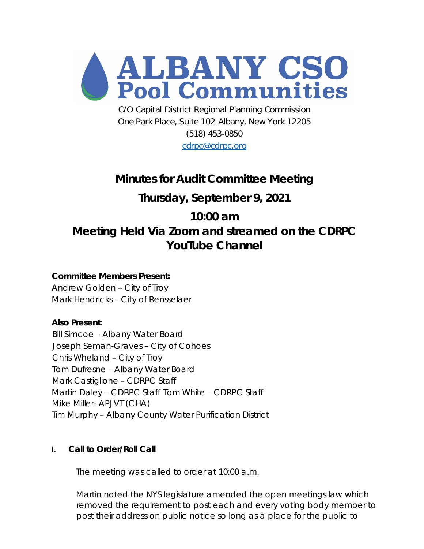

C/O Capital District Regional Planning Commission One Park Place, Suite 102 Albany, New York 12205 (518) 453-0850

[cdrpc@cdrpc.org](mailto:cdrpc@cdrpc.org)

# **Minutes for Audit Committee Meeting**

# **Thursday, September 9, 2021**

# **10:00 am Meeting Held Via Zoom and streamed on the CDRPC YouTube Channel**

## **Committee Members Present:**

Andrew Golden – City of Troy Mark Hendricks – City of Rensselaer

## **Also Present:**

Bill Simcoe – Albany Water Board Joseph Seman-Graves – City of Cohoes Chris Wheland – City of Troy Tom Dufresne – Albany Water Board Mark Castiglione – CDRPC Staff Martin Daley – CDRPC Staff Tom White – CDRPC Staff Mike Miller- APJVT (CHA) Tim Murphy – Albany County Water Purification District

## **I. Call to Order/Roll Call**

The meeting was called to order at 10:00 a.m.

Martin noted the NYS legislature amended the open meetings law which removed the requirement to post each and every voting body member to post their address on public notice so long as a place for the public to